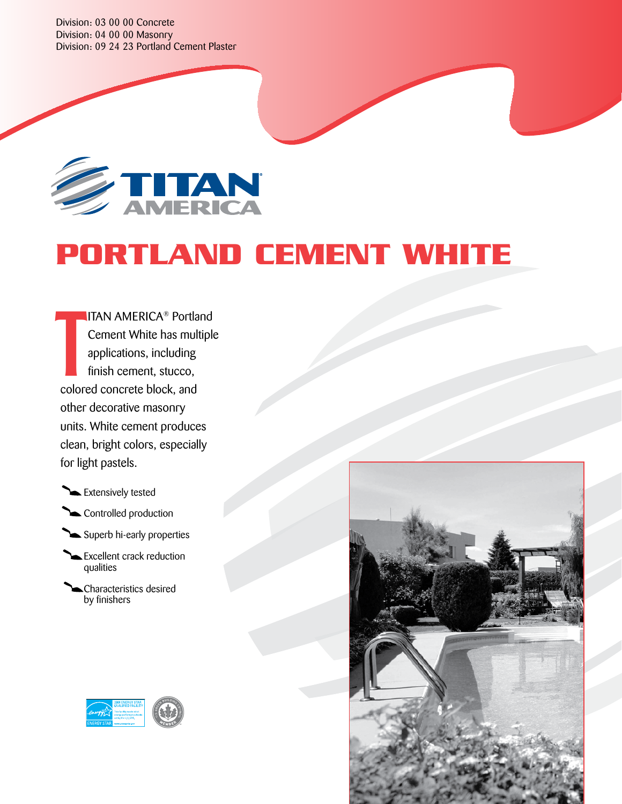Division: 03 00 00 Concrete Division: 04 00 00 Masonry Division: 09 24 23 Portland Cement Plaster



# **PORTLAND CEMENT white**

ITAN AMERICA® Portland Cement White has multiple applications, including finish cement, stucco, colored concrete block, and other decorative masonry units. White cement produces clean, bright colors, especially for light pastels. T

Extensively tested

Controlled production

Superb hi-early properties

Excellent crack reduction qualities

Characteristics desired by finishers